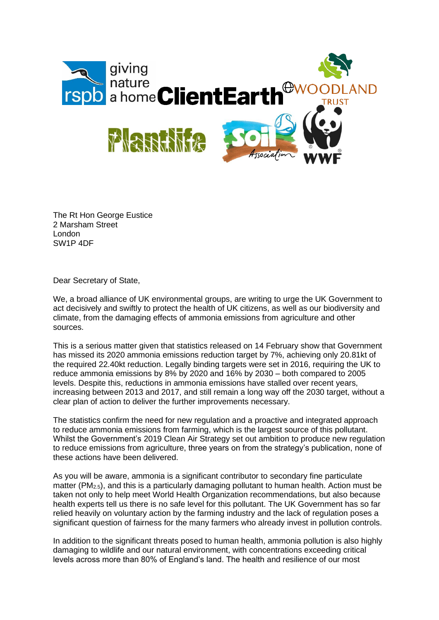

The Rt Hon George Eustice 2 Marsham Street London SW1P 4DF

Dear Secretary of State,

We, a broad alliance of UK environmental groups, are writing to urge the UK Government to act decisively and swiftly to protect the health of UK citizens, as well as our biodiversity and climate, from the damaging effects of ammonia emissions from agriculture and other sources.

This is a serious matter given that statistics released on 14 February show that Government has missed its 2020 ammonia emissions reduction target by 7%, achieving only 20.81kt of the required 22.40kt reduction. Legally binding targets were set in 2016, requiring the UK to reduce ammonia emissions by 8% by 2020 and 16% by 2030 – both compared to 2005 levels. Despite this, reductions in ammonia emissions have stalled over recent years, increasing between 2013 and 2017, and still remain a long way off the 2030 target, without a clear plan of action to deliver the further improvements necessary.

The statistics confirm the need for new regulation and a proactive and integrated approach to reduce ammonia emissions from farming, which is the largest source of this pollutant. Whilst the Government's 2019 Clean Air Strategy set out ambition to produce new regulation to reduce emissions from agriculture, three years on from the strategy's publication, none of these actions have been delivered.

As you will be aware, ammonia is a significant contributor to secondary fine particulate matter (PM2.5), and this is a particularly damaging pollutant to human health. Action must be taken not only to help meet World Health Organization recommendations, but also because health experts tell us there is no safe level for this pollutant. The UK Government has so far relied heavily on voluntary action by the farming industry and the lack of regulation poses a significant question of fairness for the many farmers who already invest in pollution controls.

In addition to the significant threats posed to human health, ammonia pollution is also highly damaging to wildlife and our natural environment, with concentrations exceeding critical levels across more than 80% of England's land. The health and resilience of our most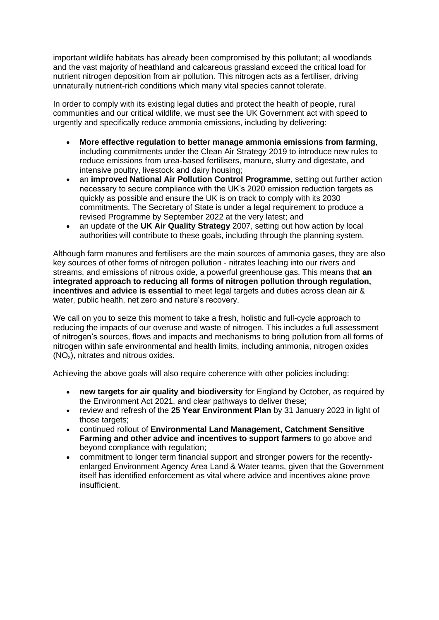important wildlife habitats has already been compromised by this pollutant; all woodlands and the vast majority of heathland and calcareous grassland exceed the critical load for nutrient nitrogen deposition from air pollution. This nitrogen acts as a fertiliser, driving unnaturally nutrient-rich conditions which many vital species cannot tolerate.

In order to comply with its existing legal duties and protect the health of people, rural communities and our critical wildlife, we must see the UK Government act with speed to urgently and specifically reduce ammonia emissions, including by delivering:

- **More effective regulation to better manage ammonia emissions from farming**, including commitments under the Clean Air Strategy 2019 to introduce new rules to reduce emissions from urea-based fertilisers, manure, slurry and digestate, and intensive poultry, livestock and dairy housing;
- an **improved National Air Pollution Control Programme**, setting out further action necessary to secure compliance with the UK's 2020 emission reduction targets as quickly as possible and ensure the UK is on track to comply with its 2030 commitments. The Secretary of State is under a legal requirement to produce a revised Programme by September 2022 at the very latest; and
- an update of the **UK Air Quality Strategy** 2007, setting out how action by local authorities will contribute to these goals, including through the planning system.

Although farm manures and fertilisers are the main sources of ammonia gases, they are also key sources of other forms of nitrogen pollution - nitrates leaching into our rivers and streams, and emissions of nitrous oxide, a powerful greenhouse gas. This means that **an integrated approach to reducing all forms of nitrogen pollution through regulation, incentives and advice is essential** to meet legal targets and duties across clean air & water, public health, net zero and nature's recovery.

We call on you to seize this moment to take a fresh, holistic and full-cycle approach to reducing the impacts of our overuse and waste of nitrogen. This includes a full assessment of nitrogen's sources, flows and impacts and mechanisms to bring pollution from all forms of nitrogen within safe environmental and health limits, including ammonia, nitrogen oxides (NOx), nitrates and nitrous oxides.

Achieving the above goals will also require coherence with other policies including:

- **new targets for air quality and biodiversity** for England by October, as required by the Environment Act 2021, and clear pathways to deliver these;
- review and refresh of the **25 Year Environment Plan** by 31 January 2023 in light of those targets:
- continued rollout of **Environmental Land Management, Catchment Sensitive Farming and other advice and incentives to support farmers** to go above and beyond compliance with regulation;
- commitment to longer term financial support and stronger powers for the recentlyenlarged Environment Agency Area Land & Water teams, given that the Government itself has identified enforcement as vital where advice and incentives alone prove insufficient.